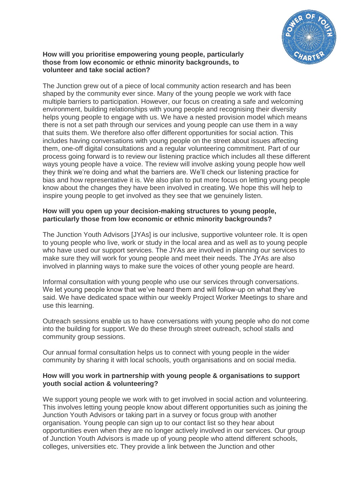

#### **How will you prioritise empowering young people, particularly those from low economic or ethnic minority backgrounds, to volunteer and take social action?**

The Junction grew out of a piece of local community action research and has been shaped by the community ever since. Many of the young people we work with face multiple barriers to participation. However, our focus on creating a safe and welcoming environment, building relationships with young people and recognising their diversity helps young people to engage with us. We have a nested provision model which means there is not a set path through our services and young people can use them in a way that suits them. We therefore also offer different opportunities for social action. This includes having conversations with young people on the street about issues affecting them, one-off digital consultations and a regular volunteering commitment. Part of our process going forward is to review our listening practice which includes all these different ways young people have a voice. The review will involve asking young people how well they think we're doing and what the barriers are. We'll check our listening practice for bias and how representative it is. We also plan to put more focus on letting young people know about the changes they have been involved in creating. We hope this will help to inspire young people to get involved as they see that we genuinely listen.

### **How will you open up your decision-making structures to young people, particularly those from low economic or ethnic minority backgrounds?**

The Junction Youth Advisors [JYAs] is our inclusive, supportive volunteer role. It is open to young people who live, work or study in the local area and as well as to young people who have used our support services. The JYAs are involved in planning our services to make sure they will work for young people and meet their needs. The JYAs are also involved in planning ways to make sure the voices of other young people are heard.

Informal consultation with young people who use our services through conversations. We let young people know that we've heard them and will follow-up on what they've said. We have dedicated space within our weekly Project Worker Meetings to share and use this learning.

Outreach sessions enable us to have conversations with young people who do not come into the building for support. We do these through street outreach, school stalls and community group sessions.

Our annual formal consultation helps us to connect with young people in the wider community by sharing it with local schools, youth organisations and on social media.

### **How will you work in partnership with young people & organisations to support youth social action & volunteering?**

We support young people we work with to get involved in social action and volunteering. This involves letting young people know about different opportunities such as joining the Junction Youth Advisors or taking part in a survey or focus group with another organisation. Young people can sign up to our contact list so they hear about opportunities even when they are no longer actively involved in our services. Our group of Junction Youth Advisors is made up of young people who attend different schools, colleges, universities etc. They provide a link between the Junction and other